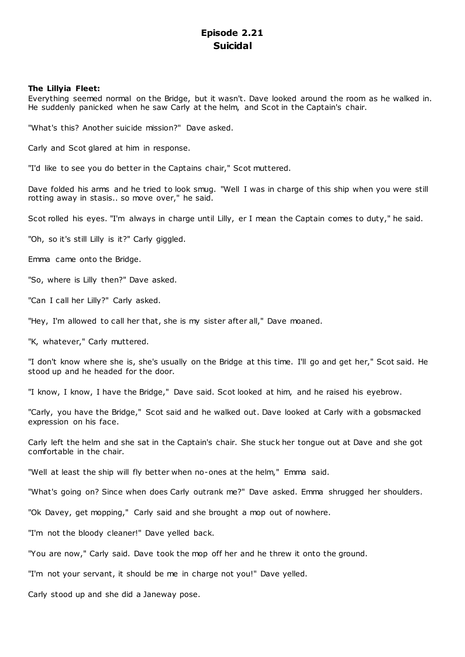# **Episode 2.21 Suicidal**

# **The Lillyia Fleet:**

Everything seemed normal on the Bridge, but it wasn't. Dave looked around the room as he walked in. He suddenly panicked when he saw Carly at the helm, and Scot in the Captain's chair.

"What's this? Another suicide mission?" Dave asked.

Carly and Scot glared at him in response.

"I'd like to see you do better in the Captains chair," Scot muttered.

Dave folded his arms and he tried to look smug. "Well I was in charge of this ship when you were still rotting away in stasis.. so move over," he said.

Scot rolled his eyes. "I'm always in charge until Lilly, er I mean the Captain comes to duty," he said.

"Oh, so it's still Lilly is it?" Carly giggled.

Emma came onto the Bridge.

"So, where is Lilly then?" Dave asked.

"Can I call her Lilly?" Carly asked.

"Hey, I'm allowed to call her that, she is my sister after all," Dave moaned.

"K, whatever," Carly muttered.

"I don't know where she is, she's usually on the Bridge at this time. I'll go and get her," Scot said. He stood up and he headed for the door.

"I know, I know, I have the Bridge," Dave said. Scot looked at him, and he raised his eyebrow.

"Carly, you have the Bridge," Scot said and he walked out. Dave looked at Carly with a gobsmacked expression on his face.

Carly left the helm and she sat in the Captain's chair. She stuck her tongue out at Dave and she got comfortable in the chair.

"Well at least the ship will fly better when no-ones at the helm," Emma said.

"What's going on? Since when does Carly outrank me?" Dave asked. Emma shrugged her shoulders.

"Ok Davey, get mopping," Carly said and she brought a mop out of nowhere.

"I'm not the bloody cleaner!" Dave yelled back.

"You are now," Carly said. Dave took the mop off her and he threw it onto the ground.

"I'm not your servant, it should be me in charge not you!" Dave yelled.

Carly stood up and she did a Janeway pose.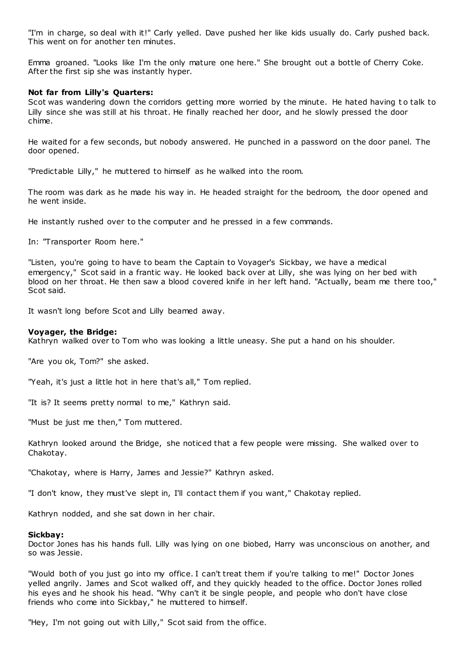"I'm in charge, so deal with it!" Carly yelled. Dave pushed her like kids usually do. Carly pushed back. This went on for another ten minutes.

Emma groaned. "Looks like I'm the only mature one here." She brought out a bottle of Cherry Coke. After the first sip she was instantly hyper.

# **Not far from Lilly's Quarters:**

Scot was wandering down the corridors getting more worried by the minute. He hated having to talk to Lilly since she was still at his throat. He finally reached her door, and he slowly pressed the door chime.

He waited for a few seconds, but nobody answered. He punched in a password on the door panel. The door opened.

"Predictable Lilly," he muttered to himself as he walked into the room.

The room was dark as he made his way in. He headed straight for the bedroom, the door opened and he went inside.

He instantly rushed over to the computer and he pressed in a few commands.

In: "Transporter Room here."

"Listen, you're going to have to beam the Captain to Voyager's Sickbay, we have a medical emergency," Scot said in a frantic way. He looked back over at Lilly, she was lying on her bed with blood on her throat. He then saw a blood covered knife in her left hand. "Actually, beam me there too," Scot said.

It wasn't long before Scot and Lilly beamed away.

# **Voyager, the Bridge:**

Kathryn walked over to Tom who was looking a little uneasy. She put a hand on his shoulder.

"Are you ok, Tom?" she asked.

"Yeah, it's just a little hot in here that's all," Tom replied.

"It is? It seems pretty normal to me," Kathryn said.

"Must be just me then," Tom muttered.

Kathryn looked around the Bridge, she noticed that a few people were missing. She walked over to Chakotay.

"Chakotay, where is Harry, James and Jessie?" Kathryn asked.

"I don't know, they must've slept in, I'll contact them if you want," Chakotay replied.

Kathryn nodded, and she sat down in her chair.

# **Sickbay:**

Doctor Jones has his hands full. Lilly was lying on one biobed, Harry was unconscious on another, and so was Jessie.

"Would both of you just go into my office. I can't treat them if you're talking to me!" Doctor Jones yelled angrily. James and Scot walked off, and they quickly headed to the office. Doctor Jones rolled his eyes and he shook his head. "Why can't it be single people, and people who don't have close friends who come into Sickbay," he muttered to himself.

"Hey, I'm not going out with Lilly," Scot said from the office.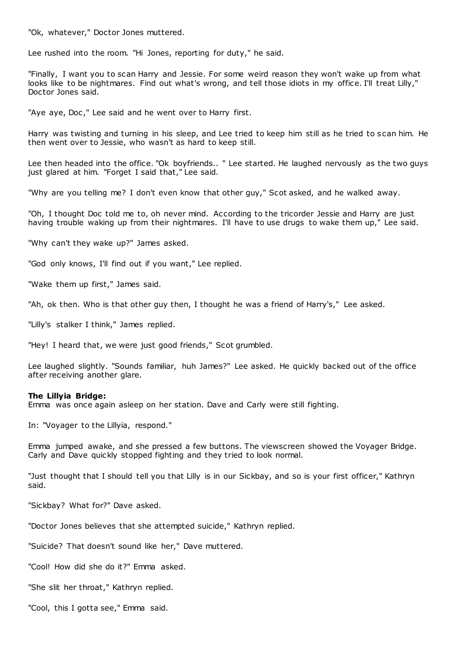"Ok, whatever," Doctor Jones muttered.

Lee rushed into the room. "Hi Jones, reporting for duty," he said.

"Finally, I want you to scan Harry and Jessie. For some weird reason they won't wake up from what looks like to be nightmares. Find out what's wrong, and tell those idiots in my office. I'll treat Lilly," Doctor Jones said.

"Aye aye, Doc," Lee said and he went over to Harry first.

Harry was twisting and turning in his sleep, and Lee tried to keep him still as he tried to scan him. He then went over to Jessie, who wasn't as hard to keep still.

Lee then headed into the office. "Ok boyfriends.. " Lee started. He laughed nervously as the two guys just glared at him. "Forget I said that," Lee said.

"Why are you telling me? I don't even know that other guy," Scot asked, and he walked away.

"Oh, I thought Doc told me to, oh never mind. According to the tricorder Jessie and Harry are just having trouble waking up from their nightmares. I'll have to use drugs to wake them up," Lee said.

"Why can't they wake up?" James asked.

"God only knows, I'll find out if you want," Lee replied.

"Wake them up first," James said.

"Ah, ok then. Who is that other guy then, I thought he was a friend of Harry's," Lee asked.

"Lilly's stalker I think," James replied.

"Hey! I heard that, we were just good friends," Scot grumbled.

Lee laughed slightly. "Sounds familiar, huh James?" Lee asked. He quickly backed out of the office after receiving another glare.

# **The Lillyia Bridge:**

Emma was once again asleep on her station. Dave and Carly were still fighting.

In: "Voyager to the Lillyia, respond."

Emma jumped awake, and she pressed a few buttons. The viewscreen showed the Voyager Bridge. Carly and Dave quickly stopped fighting and they tried to look normal.

"Just thought that I should tell you that Lilly is in our Sickbay, and so is your first officer," Kathryn said.

"Sickbay? What for?" Dave asked.

"Doctor Jones believes that she attempted suicide," Kathryn replied.

"Suicide? That doesn't sound like her," Dave muttered.

"Cool! How did she do it?" Emma asked.

"She slit her throat," Kathryn replied.

"Cool, this I gotta see," Emma said.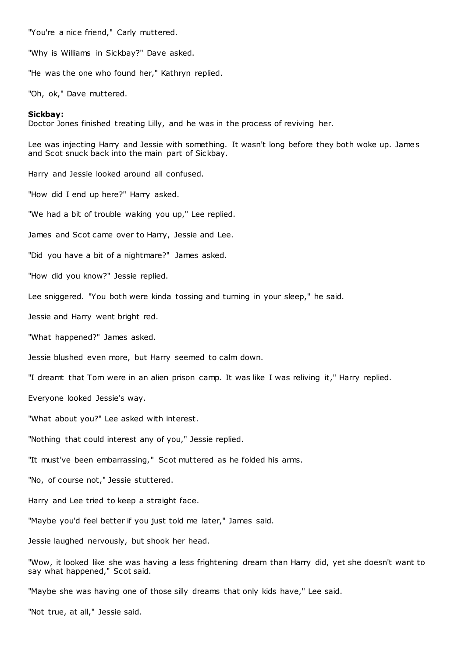"You're a nice friend," Carly muttered.

"Why is Williams in Sickbay?" Dave asked.

"He was the one who found her," Kathryn replied.

"Oh, ok," Dave muttered.

# **Sickbay:**

Doctor Jones finished treating Lilly, and he was in the process of reviving her.

Lee was injecting Harry and Jessie with something. It wasn't long before they both woke up. James and Scot snuck back into the main part of Sickbay.

Harry and Jessie looked around all confused.

"How did I end up here?" Harry asked.

"We had a bit of trouble waking you up," Lee replied.

James and Scot came over to Harry, Jessie and Lee.

"Did you have a bit of a nightmare?" James asked.

"How did you know?" Jessie replied.

Lee sniggered. "You both were kinda tossing and turning in your sleep," he said.

Jessie and Harry went bright red.

"What happened?" James asked.

Jessie blushed even more, but Harry seemed to calm down.

"I dreamt that Tom were in an alien prison camp. It was like I was reliving it," Harry replied.

Everyone looked Jessie's way.

"What about you?" Lee asked with interest.

"Nothing that could interest any of you," Jessie replied.

"It must've been embarrassing," Scot muttered as he folded his arms.

"No, of course not," Jessie stuttered.

Harry and Lee tried to keep a straight face.

"Maybe you'd feel better if you just told me later," James said.

Jessie laughed nervously, but shook her head.

"Wow, it looked like she was having a less frightening dream than Harry did, yet she doesn't want to say what happened," Scot said.

"Maybe she was having one of those silly dreams that only kids have," Lee said.

"Not true, at all," Jessie said.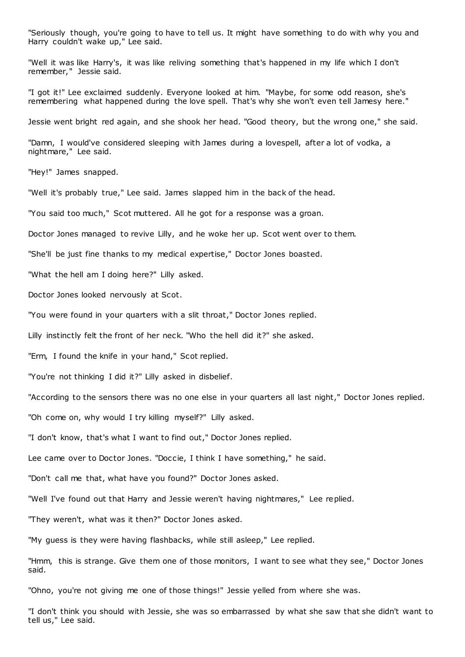"Seriously though, you're going to have to tell us. It might have something to do with why you and Harry couldn't wake up," Lee said.

"Well it was like Harry's, it was like reliving something that's happened in my life which I don't remember," Jessie said.

"I got it!" Lee exclaimed suddenly. Everyone looked at him. "Maybe, for some odd reason, she's remembering what happened during the love spell. That's why she won't even tell Jamesy here."

Jessie went bright red again, and she shook her head. "Good theory, but the wrong one," she said.

"Damn, I would've considered sleeping with James during a lovespell, after a lot of vodka, a nightmare," Lee said.

"Hey!" James snapped.

"Well it's probably true," Lee said. James slapped him in the back of the head.

"You said too much," Scot muttered. All he got for a response was a groan.

Doctor Jones managed to revive Lilly, and he woke her up. Scot went over to them.

"She'll be just fine thanks to my medical expertise," Doctor Jones boasted.

"What the hell am I doing here?" Lilly asked.

Doctor Jones looked nervously at Scot.

"You were found in your quarters with a slit throat," Doctor Jones replied.

Lilly instinctly felt the front of her neck. "Who the hell did it?" she asked.

"Erm, I found the knife in your hand," Scot replied.

"You're not thinking I did it?" Lilly asked in disbelief.

"According to the sensors there was no one else in your quarters all last night," Doctor Jones replied.

"Oh come on, why would I try killing myself?" Lilly asked.

"I don't know, that's what I want to find out," Doctor Jones replied.

Lee came over to Doctor Jones. "Doccie, I think I have something," he said.

"Don't call me that, what have you found?" Doctor Jones asked.

"Well I've found out that Harry and Jessie weren't having nightmares," Lee replied.

"They weren't, what was it then?" Doctor Jones asked.

"My guess is they were having flashbacks, while still asleep," Lee replied.

"Hmm, this is strange. Give them one of those monitors, I want to see what they see," Doctor Jones said.

"Ohno, you're not giving me one of those things!" Jessie yelled from where she was.

"I don't think you should with Jessie, she was so embarrassed by what she saw that she didn't want to tell us," Lee said.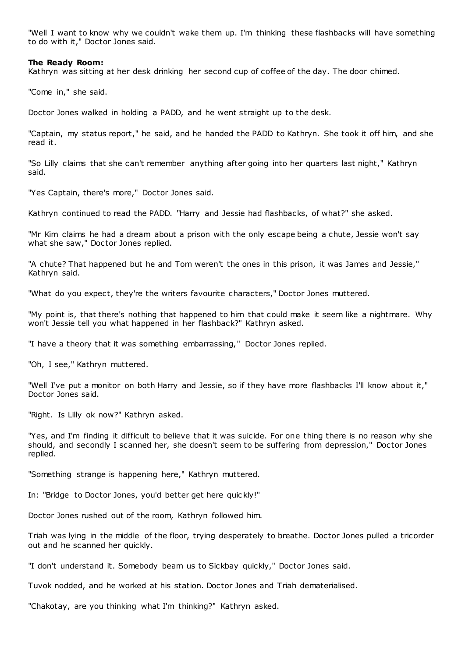"Well I want to know why we couldn't wake them up. I'm thinking these flashbacks will have something to do with it," Doctor Jones said.

# **The Ready Room:**

Kathryn was sitting at her desk drinking her second cup of coffee of the day. The door chimed.

"Come in," she said.

Doctor Jones walked in holding a PADD, and he went straight up to the desk.

"Captain, my status report," he said, and he handed the PADD to Kathryn. She took it off him, and she read it.

"So Lilly claims that she can't remember anything after going into her quarters last night," Kathryn said.

"Yes Captain, there's more," Doctor Jones said.

Kathryn continued to read the PADD. "Harry and Jessie had flashbacks, of what?" she asked.

"Mr Kim claims he had a dream about a prison with the only escape being a chute, Jessie won't say what she saw," Doctor Jones replied.

"A chute? That happened but he and Tom weren't the ones in this prison, it was James and Jessie," Kathryn said.

"What do you expect, they're the writers favourite characters," Doctor Jones muttered.

"My point is, that there's nothing that happened to him that could make it seem like a nightmare. Why won't Jessie tell you what happened in her flashback?" Kathryn asked.

"I have a theory that it was something embarrassing," Doctor Jones replied.

"Oh, I see," Kathryn muttered.

"Well I've put a monitor on both Harry and Jessie, so if they have more flashbacks I'll know about it," Doctor Jones said.

"Right. Is Lilly ok now?" Kathryn asked.

"Yes, and I'm finding it difficult to believe that it was suicide. For one thing there is no reason why she should, and secondly I scanned her, she doesn't seem to be suffering from depression," Doctor Jones replied.

"Something strange is happening here," Kathryn muttered.

In: "Bridge to Doctor Jones, you'd better get here quic kly!"

Doctor Jones rushed out of the room, Kathryn followed him.

Triah was lying in the middle of the floor, trying desperately to breathe. Doctor Jones pulled a tricorder out and he scanned her quickly.

"I don't understand it. Somebody beam us to Sickbay quickly," Doctor Jones said.

Tuvok nodded, and he worked at his station. Doctor Jones and Triah dematerialised.

"Chakotay, are you thinking what I'm thinking?" Kathryn asked.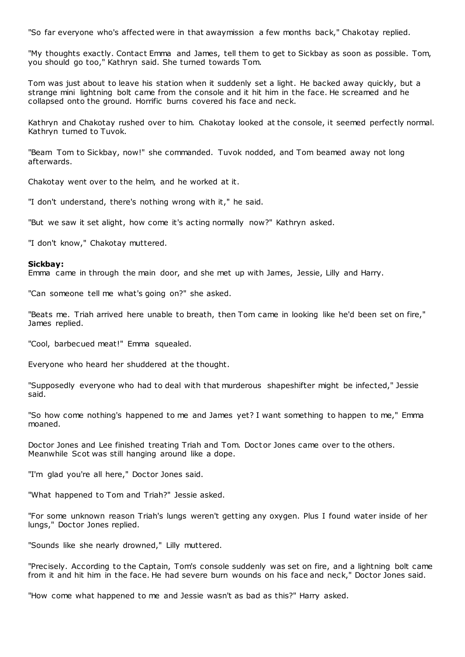"So far everyone who's affected were in that awaymission a few months back," Chakotay replied.

"My thoughts exactly. Contact Emma and James, tell them to get to Sickbay as soon as possible. Tom, you should go too," Kathryn said. She turned towards Tom.

Tom was just about to leave his station when it suddenly set a light. He backed away quickly, but a strange mini lightning bolt came from the console and it hit him in the face. He screamed and he collapsed onto the ground. Horrific burns covered his face and neck.

Kathryn and Chakotay rushed over to him. Chakotay looked at the console, it seemed perfectly normal. Kathryn turned to Tuvok.

"Beam Tom to Sickbay, now!" she commanded. Tuvok nodded, and Tom beamed away not long afterwards.

Chakotay went over to the helm, and he worked at it.

"I don't understand, there's nothing wrong with it," he said.

"But we saw it set alight, how come it's acting normally now?" Kathryn asked.

"I don't know," Chakotay muttered.

# **Sickbay:**

Emma came in through the main door, and she met up with James, Jessie, Lilly and Harry.

"Can someone tell me what's going on?" she asked.

"Beats me. Triah arrived here unable to breath, then Tom came in looking like he'd been set on fire," James replied.

"Cool, barbecued meat!" Emma squealed.

Everyone who heard her shuddered at the thought.

"Supposedly everyone who had to deal with that murderous shapeshifter might be infected," Jessie said.

"So how come nothing's happened to me and James yet? I want something to happen to me," Emma moaned.

Doctor Jones and Lee finished treating Triah and Tom. Doctor Jones came over to the others. Meanwhile Scot was still hanging around like a dope.

"I'm glad you're all here," Doctor Jones said.

"What happened to Tom and Triah?" Jessie asked.

"For some unknown reason Triah's lungs weren't getting any oxygen. Plus I found water inside of her lungs," Doctor Jones replied.

"Sounds like she nearly drowned," Lilly muttered.

"Precisely. According to the Captain, Tom's console suddenly was set on fire, and a lightning bolt came from it and hit him in the face. He had severe burn wounds on his face and neck," Doctor Jones said.

"How come what happened to me and Jessie wasn't as bad as this?" Harry asked.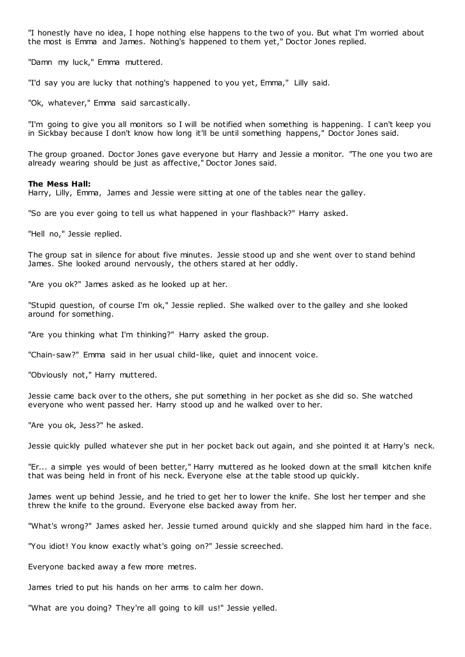"I honestly have no idea, I hope nothing else happens to the two of you. But what I'm worried about the most is Emma and James. Nothing's happened to them yet," Doctor Jones replied.

"Damn my luck," Emma muttered.

"I'd say you are lucky that nothing's happened to you yet, Emma," Lilly said.

"Ok, whatever," Emma said sarcastically.

"I'm going to give you all monitors so I will be notified when something is happening. I can't keep you in Sickbay because I don't know how long it'll be until something happens," Doctor Jones said.

The group groaned. Doctor Jones gave everyone but Harry and Jessie a monitor. "The one you two are already wearing should be just as affective," Doctor Jones said.

# **The Mess Hall:**

Harry, Lilly, Emma, James and Jessie were sitting at one of the tables near the galley.

"So are you ever going to tell us what happened in your flashback?" Harry asked.

"Hell no," Jessie replied.

The group sat in silence for about five minutes. Jessie stood up and she went over to stand behind James. She looked around nervously, the others stared at her oddly.

"Are you ok?" James asked as he looked up at her.

"Stupid question, of course I'm ok," Jessie replied. She walked over to the galley and she looked around for something.

"Are you thinking what I'm thinking?" Harry asked the group.

"Chain-saw?" Emma said in her usual child-like, quiet and innocent voice.

"Obviously not," Harry muttered.

Jessie came back over to the others, she put something in her pocket as she did so. She watched everyone who went passed her. Harry stood up and he walked over to her.

"Are you ok, Jess?" he asked.

Jessie quickly pulled whatever she put in her pocket back out again, and she pointed it at Harry's neck.

"Er... a simple yes would of been better," Harry muttered as he looked down at the small kitchen knife that was being held in front of his neck. Everyone else at the table stood up quickly.

James went up behind Jessie, and he tried to get her to lower the knife. She lost her temper and she threw the knife to the ground. Everyone else backed away from her.

"What's wrong?" James asked her. Jessie turned around quickly and she slapped him hard in the face.

"You idiot! You know exactly what's going on?" Jessie screeched.

Everyone backed away a few more metres.

James tried to put his hands on her arms to calm her down.

"What are you doing? They're all going to kill us!" Jessie yelled.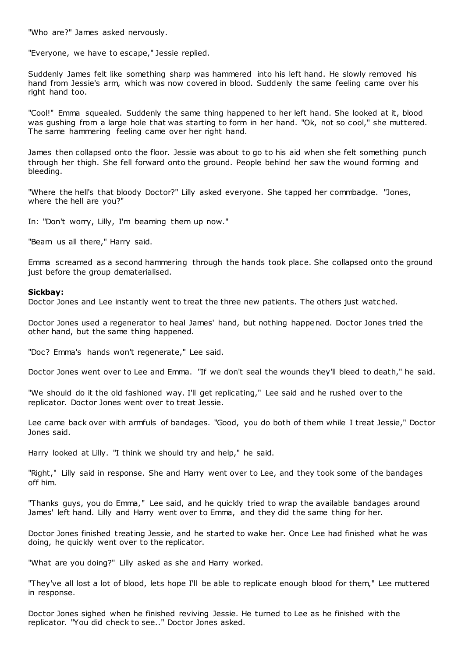"Who are?" James asked nervously.

"Everyone, we have to escape," Jessie replied.

Suddenly James felt like something sharp was hammered into his left hand. He slowly removed his hand from Jessie's arm, which was now covered in blood. Suddenly the same feeling came over his right hand too.

"Cool!" Emma squealed. Suddenly the same thing happened to her left hand. She looked at it, blood was gushing from a large hole that was starting to form in her hand. "Ok, not so cool," she muttered. The same hammering feeling came over her right hand.

James then collapsed onto the floor. Jessie was about to go to his aid when she felt something punch through her thigh. She fell forward onto the ground. People behind her saw the wound forming and bleeding.

"Where the hell's that bloody Doctor?" Lilly asked everyone. She tapped her commbadge. "Jones, where the hell are you?"

In: "Don't worry, Lilly, I'm beaming them up now."

"Beam us all there," Harry said.

Emma screamed as a second hammering through the hands took place. She collapsed onto the ground just before the group dematerialised.

# **Sickbay:**

Doctor Jones and Lee instantly went to treat the three new patients. The others just watched.

Doctor Jones used a regenerator to heal James' hand, but nothing happened. Doctor Jones tried the other hand, but the same thing happened.

"Doc? Emma's hands won't regenerate," Lee said.

Doctor Jones went over to Lee and Emma. "If we don't seal the wounds they'll bleed to death," he said.

"We should do it the old fashioned way. I'll get replicating," Lee said and he rushed over to the replicator. Doctor Jones went over to treat Jessie.

Lee came back over with armfuls of bandages. "Good, you do both of them while I treat Jessie," Doctor Jones said.

Harry looked at Lilly. "I think we should try and help," he said.

"Right," Lilly said in response. She and Harry went over to Lee, and they took some of the bandages off him.

"Thanks guys, you do Emma," Lee said, and he quickly tried to wrap the available bandages around James' left hand. Lilly and Harry went over to Emma, and they did the same thing for her.

Doctor Jones finished treating Jessie, and he started to wake her. Once Lee had finished what he was doing, he quickly went over to the replicator.

"What are you doing?" Lilly asked as she and Harry worked.

"They've all lost a lot of blood, lets hope I'll be able to replicate enough blood for them," Lee muttered in response.

Doctor Jones sighed when he finished reviving Jessie. He turned to Lee as he finished with the replicator. "You did check to see.." Doctor Jones asked.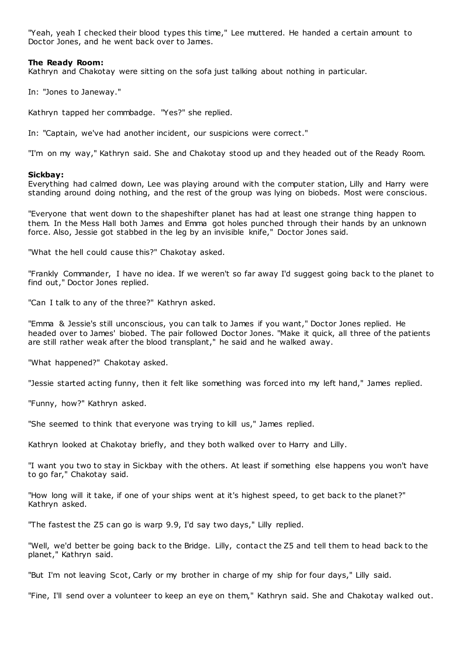"Yeah, yeah I checked their blood types this time," Lee muttered. He handed a certain amount to Doctor Jones, and he went back over to James.

# **The Ready Room:**

Kathryn and Chakotay were sitting on the sofa just talking about nothing in particular.

In: "Jones to Janeway."

Kathryn tapped her commbadge. "Yes?" she replied.

In: "Captain, we've had another incident, our suspicions were correct."

"I'm on my way," Kathryn said. She and Chakotay stood up and they headed out of the Ready Room.

# **Sickbay:**

Everything had calmed down, Lee was playing around with the computer station, Lilly and Harry were standing around doing nothing, and the rest of the group was lying on biobeds. Most were conscious.

"Everyone that went down to the shapeshifter planet has had at least one strange thing happen to them. In the Mess Hall both James and Emma got holes punched through their hands by an unknown force. Also, Jessie got stabbed in the leg by an invisible knife," Doctor Jones said.

"What the hell could cause this?" Chakotay asked.

"Frankly Commander, I have no idea. If we weren't so far away I'd suggest going back to the planet to find out," Doctor Jones replied.

"Can I talk to any of the three?" Kathryn asked.

"Emma & Jessie's still unconscious, you can talk to James if you want," Doctor Jones replied. He headed over to James' biobed. The pair followed Doctor Jones. "Make it quick, all three of the patients are still rather weak after the blood transplant," he said and he walked away.

"What happened?" Chakotay asked.

"Jessie started acting funny, then it felt like something was forced into my left hand," James replied.

"Funny, how?" Kathryn asked.

"She seemed to think that everyone was trying to kill us," James replied.

Kathryn looked at Chakotay briefly, and they both walked over to Harry and Lilly.

"I want you two to stay in Sickbay with the others. At least if something else happens you won't have to go far," Chakotay said.

"How long will it take, if one of your ships went at it's highest speed, to get back to the planet?" Kathryn asked.

"The fastest the Z5 can go is warp 9.9, I'd say two days," Lilly replied.

"Well, we'd better be going back to the Bridge. Lilly, contact the Z5 and tell them to head back to the planet," Kathryn said.

"But I'm not leaving Scot, Carly or my brother in charge of my ship for four days," Lilly said.

"Fine, I'll send over a volunteer to keep an eye on them," Kathryn said. She and Chakotay walked out.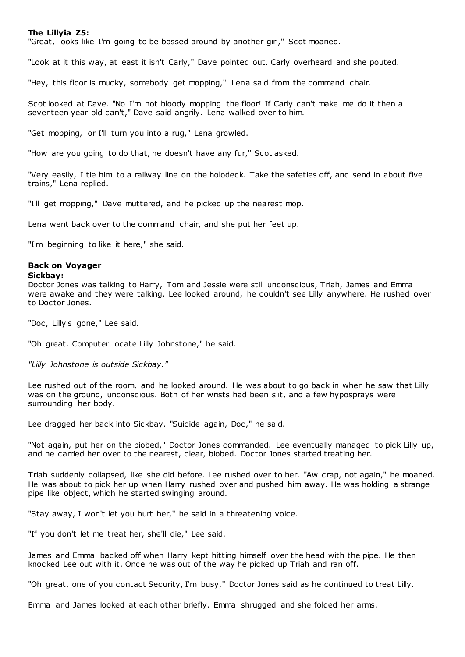# **The Lillyia Z5:**

"Great, looks like I'm going to be bossed around by another girl," Scot moaned.

"Look at it this way, at least it isn't Carly," Dave pointed out. Carly overheard and she pouted.

"Hey, this floor is mucky, somebody get mopping," Lena said from the command chair.

Scot looked at Dave. "No I'm not bloody mopping the floor! If Carly can't make me do it then a seventeen year old can't," Dave said angrily. Lena walked over to him.

"Get mopping, or I'll turn you into a rug," Lena growled.

"How are you going to do that, he doesn't have any fur," Scot asked.

"Very easily, I tie him to a railway line on the holodeck. Take the safeties off, and send in about five trains," Lena replied.

"I'll get mopping," Dave muttered, and he picked up the nearest mop.

Lena went back over to the command chair, and she put her feet up.

"I'm beginning to like it here," she said.

# **Back on Voyager**

#### **Sickbay:**

Doctor Jones was talking to Harry, Tom and Jessie were still unconscious, Triah, James and Emma were awake and they were talking. Lee looked around, he couldn't see Lilly anywhere. He rushed over to Doctor Jones.

"Doc, Lilly's gone," Lee said.

"Oh great. Computer locate Lilly Johnstone," he said.

*"Lilly Johnstone is outside Sickbay."*

Lee rushed out of the room, and he looked around. He was about to go back in when he saw that Lilly was on the ground, unconscious. Both of her wrists had been slit, and a few hyposprays were surrounding her body.

Lee dragged her back into Sickbay. "Suicide again, Doc," he said.

"Not again, put her on the biobed," Doctor Jones commanded. Lee eventually managed to pick Lilly up, and he carried her over to the nearest, clear, biobed. Doctor Jones started treating her.

Triah suddenly collapsed, like she did before. Lee rushed over to her. "Aw crap, not again," he moaned. He was about to pick her up when Harry rushed over and pushed him away. He was holding a strange pipe like object, which he started swinging around.

"Stay away, I won't let you hurt her," he said in a threatening voice.

"If you don't let me treat her, she'll die," Lee said.

James and Emma backed off when Harry kept hitting himself over the head with the pipe. He then knocked Lee out with it. Once he was out of the way he picked up Triah and ran off.

"Oh great, one of you contact Security, I'm busy," Doctor Jones said as he continued to treat Lilly.

Emma and James looked at each other briefly. Emma shrugged and she folded her arms.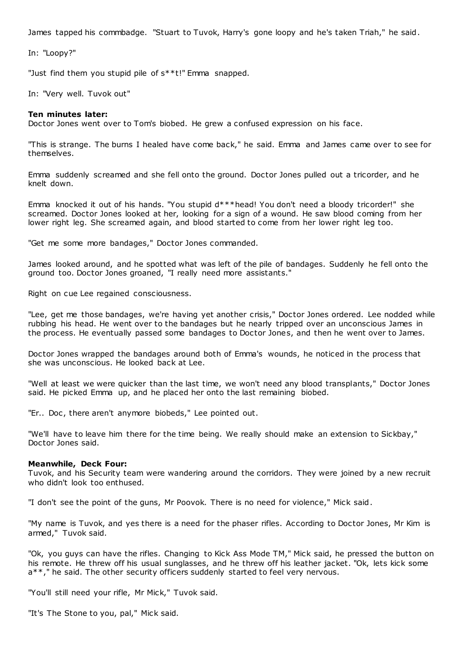James tapped his commbadge. "Stuart to Tuvok, Harry's gone loopy and he's taken Triah," he said.

In: "Loopy?"

"Just find them you stupid pile of s\*\*t!" Emma snapped.

In: "Very well. Tuvok out"

# **Ten minutes later:**

Doctor Jones went over to Tom's biobed. He grew a confused expression on his face.

"This is strange. The burns I healed have come back," he said. Emma and James came over to see for themselves.

Emma suddenly screamed and she fell onto the ground. Doctor Jones pulled out a tricorder, and he knelt down.

Emma knocked it out of his hands. "You stupid d\*\*\*head! You don't need a bloody tricorder!" she screamed. Doctor Jones looked at her, looking for a sign of a wound. He saw blood coming from her lower right leg. She screamed again, and blood started to come from her lower right leg too.

"Get me some more bandages," Doctor Jones commanded.

James looked around, and he spotted what was left of the pile of bandages. Suddenly he fell onto the ground too. Doctor Jones groaned, "I really need more assistants."

Right on cue Lee regained consciousness.

"Lee, get me those bandages, we're having yet another crisis," Doctor Jones ordered. Lee nodded while rubbing his head. He went over to the bandages but he nearly tripped over an unconscious James in the process. He eventually passed some bandages to Doctor Jones, and then he went over to James.

Doctor Jones wrapped the bandages around both of Emma's wounds, he noticed in the process that she was unconscious. He looked back at Lee.

"Well at least we were quicker than the last time, we won't need any blood transplants," Doctor Jones said. He picked Emma up, and he placed her onto the last remaining biobed.

"Er.. Doc, there aren't anymore biobeds," Lee pointed out.

"We'll have to leave him there for the time being. We really should make an extension to Sickbay," Doctor Jones said.

# **Meanwhile, Deck Four:**

Tuvok, and his Security team were wandering around the corridors. They were joined by a new recruit who didn't look too enthused.

"I don't see the point of the guns, Mr Poovok. There is no need for violence," Mick said.

"My name is Tuvok, and yes there is a need for the phaser rifles. According to Doctor Jones, Mr Kim is armed," Tuvok said.

"Ok, you guys can have the rifles. Changing to Kick Ass Mode TM," Mick said, he pressed the button on his remote. He threw off his usual sunglasses, and he threw off his leather jacket. "Ok, lets kick some a\*\*," he said. The other security officers suddenly started to feel very nervous.

"You'll still need your rifle, Mr Mick," Tuvok said.

"It's The Stone to you, pal," Mick said.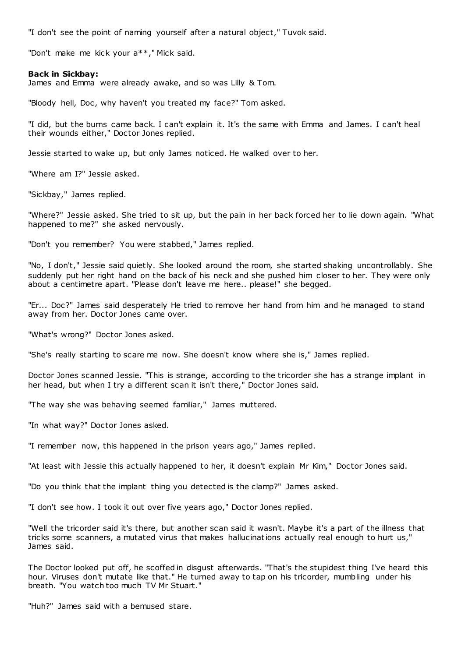"I don't see the point of naming yourself after a natural object," Tuvok said.

"Don't make me kick your a\*\*," Mick said.

# **Back in Sickbay:**

James and Emma were already awake, and so was Lilly & Tom.

"Bloody hell, Doc, why haven't you treated my face?" Tom asked.

"I did, but the burns came back. I can't explain it. It's the same with Emma and James. I can't heal their wounds either," Doctor Jones replied.

Jessie started to wake up, but only James noticed. He walked over to her.

"Where am I?" Jessie asked.

"Sickbay," James replied.

"Where?" Jessie asked. She tried to sit up, but the pain in her back forced her to lie down again. "What happened to me?" she asked nervously.

"Don't you remember? You were stabbed," James replied.

"No, I don't," Jessie said quietly. She looked around the room, she started shaking uncontrollably. She suddenly put her right hand on the back of his neck and she pushed him closer to her. They were only about a centimetre apart. "Please don't leave me here.. please!" she begged.

"Er... Doc?" James said desperately He tried to remove her hand from him and he managed to stand away from her. Doctor Jones came over.

"What's wrong?" Doctor Jones asked.

"She's really starting to scare me now. She doesn't know where she is," James replied.

Doctor Jones scanned Jessie. "This is strange, according to the tricorder she has a strange implant in her head, but when I try a different scan it isn't there," Doctor Jones said.

"The way she was behaving seemed familiar," James muttered.

"In what way?" Doctor Jones asked.

"I remember now, this happened in the prison years ago," James replied.

"At least with Jessie this actually happened to her, it doesn't explain Mr Kim," Doctor Jones said.

"Do you think that the implant thing you detected is the clamp?" James asked.

"I don't see how. I took it out over five years ago," Doctor Jones replied.

"Well the tricorder said it's there, but another scan said it wasn't. Maybe it's a part of the illness that tricks some scanners, a mutated virus that makes hallucinations actually real enough to hurt us," James said.

The Doctor looked put off, he scoffed in disgust afterwards. "That's the stupidest thing I've heard this hour. Viruses don't mutate like that." He turned away to tap on his tricorder, mumbling under his breath. "You watch too much TV Mr Stuart."

"Huh?" James said with a bemused stare.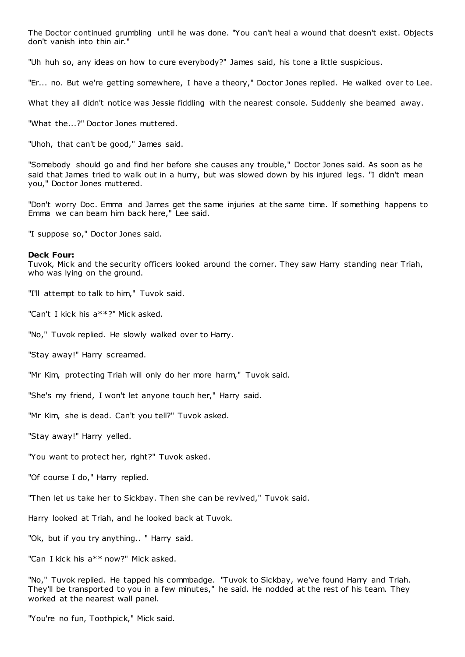The Doctor continued grumbling until he was done. "You can't heal a wound that doesn't exist. Objects don't vanish into thin air."

"Uh huh so, any ideas on how to cure everybody?" James said, his tone a little suspicious.

"Er... no. But we're getting somewhere, I have a theory," Doctor Jones replied. He walked over to Lee.

What they all didn't notice was Jessie fiddling with the nearest console. Suddenly she beamed away.

"What the...?" Doctor Jones muttered.

"Uhoh, that can't be good," James said.

"Somebody should go and find her before she causes any trouble," Doctor Jones said. As soon as he said that James tried to walk out in a hurry, but was slowed down by his injured legs. "I didn't mean you," Doctor Jones muttered.

"Don't worry Doc . Emma and James get the same injuries at the same time. If something happens to Emma we can beam him back here," Lee said.

"I suppose so," Doctor Jones said.

#### **Deck Four:**

Tuvok, Mick and the security officers looked around the corner. They saw Harry standing near Triah, who was lying on the ground.

"I'll attempt to talk to him," Tuvok said.

"Can't I kick his a\*\*?" Mick asked.

"No," Tuvok replied. He slowly walked over to Harry.

"Stay away!" Harry screamed.

"Mr Kim, protecting Triah will only do her more harm," Tuvok said.

"She's my friend, I won't let anyone touch her," Harry said.

"Mr Kim, she is dead. Can't you tell?" Tuvok asked.

"Stay away!" Harry yelled.

"You want to protect her, right?" Tuvok asked.

"Of course I do," Harry replied.

"Then let us take her to Sickbay. Then she can be revived," Tuvok said.

Harry looked at Triah, and he looked back at Tuvok.

"Ok, but if you try anything.. " Harry said.

"Can I kick his a\*\* now?" Mick asked.

"No," Tuvok replied. He tapped his commbadge. "Tuvok to Sickbay, we've found Harry and Triah. They'll be transported to you in a few minutes," he said. He nodded at the rest of his team. They worked at the nearest wall panel.

"You're no fun, Toothpick," Mick said.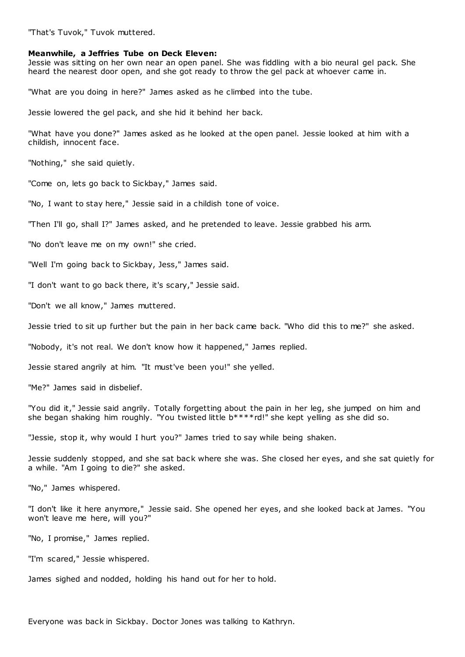"That's Tuvok," Tuvok muttered.

#### **Meanwhile, a Jeffries Tube on Deck Eleven:**

Jessie was sitting on her own near an open panel. She was fiddling with a bio neural gel pack. She heard the nearest door open, and she got ready to throw the gel pack at whoever came in.

"What are you doing in here?" James asked as he climbed into the tube.

Jessie lowered the gel pack, and she hid it behind her back.

"What have you done?" James asked as he looked at the open panel. Jessie looked at him with a childish, innocent face.

"Nothing," she said quietly.

"Come on, lets go back to Sickbay," James said.

"No, I want to stay here," Jessie said in a childish tone of voice.

"Then I'll go, shall I?" James asked, and he pretended to leave. Jessie grabbed his arm.

"No don't leave me on my own!" she cried.

"Well I'm going back to Sickbay, Jess," James said.

"I don't want to go back there, it's scary," Jessie said.

"Don't we all know," James muttered.

Jessie tried to sit up further but the pain in her back came back. "Who did this to me?" she asked.

"Nobody, it's not real. We don't know how it happened," James replied.

Jessie stared angrily at him. "It must've been you!" she yelled.

"Me?" James said in disbelief.

"You did it," Jessie said angrily. Totally forgetting about the pain in her leg, she jumped on him and she began shaking him roughly. "You twisted little  $b****rd!"$  she kept yelling as she did so.

"Jessie, stop it, why would I hurt you?" James tried to say while being shaken.

Jessie suddenly stopped, and she sat back where she was. She closed her eyes, and she sat quietly for a while. "Am I going to die?" she asked.

"No," James whispered.

"I don't like it here anymore," Jessie said. She opened her eyes, and she looked back at James. "You won't leave me here, will you?"

"No, I promise," James replied.

"I'm scared," Jessie whispered.

James sighed and nodded, holding his hand out for her to hold.

Everyone was back in Sickbay. Doctor Jones was talking to Kathryn.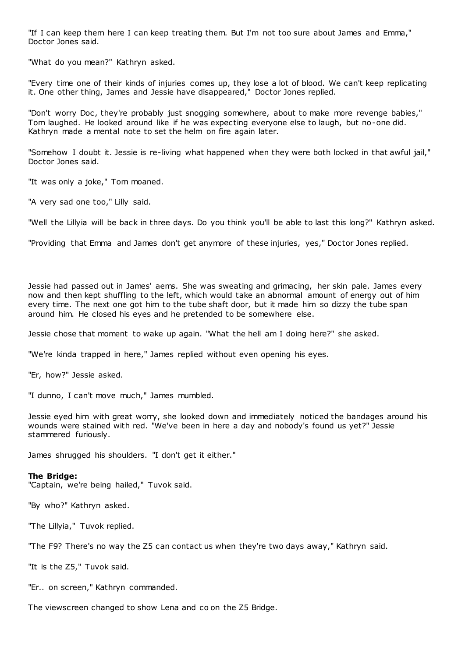"If I can keep them here I can keep treating them. But I'm not too sure about James and Emma," Doctor Jones said.

"What do you mean?" Kathryn asked.

"Every time one of their kinds of injuries comes up, they lose a lot of blood. We can't keep replicating it. One other thing, James and Jessie have disappeared," Doctor Jones replied.

"Don't worry Doc, they're probably just snogging somewhere, about to make more revenge babies," Tom laughed. He looked around like if he was expecting everyone else to laugh, but no-one did. Kathryn made a mental note to set the helm on fire again later.

"Somehow I doubt it. Jessie is re-living what happened when they were both locked in that awful jail," Doctor Jones said.

"It was only a joke," Tom moaned.

"A very sad one too," Lilly said.

"Well the Lillyia will be back in three days. Do you think you'll be able to last this long?" Kathryn asked.

"Providing that Emma and James don't get anymore of these injuries, yes," Doctor Jones replied.

Jessie had passed out in James' aems. She was sweating and grimacing, her skin pale. James every now and then kept shuffling to the left, which would take an abnormal amount of energy out of him every time. The next one got him to the tube shaft door, but it made him so dizzy the tube span around him. He closed his eyes and he pretended to be somewhere else.

Jessie chose that moment to wake up again. "What the hell am I doing here?" she asked.

"We're kinda trapped in here," James replied without even opening his eyes.

"Er, how?" Jessie asked.

"I dunno, I can't move much," James mumbled.

Jessie eyed him with great worry, she looked down and immediately noticed the bandages around his wounds were stained with red. "We've been in here a day and nobody's found us yet?" Jessie stammered furiously.

James shrugged his shoulders. "I don't get it either."

# **The Bridge:**

"Captain, we're being hailed," Tuvok said.

"By who?" Kathryn asked.

"The Lillyia," Tuvok replied.

"The F9? There's no way the Z5 can contact us when they're two days away," Kathryn said.

"It is the Z5," Tuvok said.

"Er.. on screen," Kathryn commanded.

The viewscreen changed to show Lena and co on the Z5 Bridge.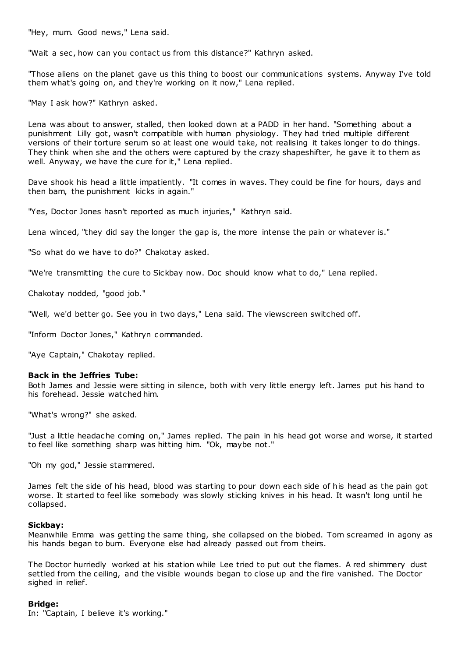"Hey, mum. Good news," Lena said.

"Wait a sec, how can you contact us from this distance?" Kathryn asked.

"Those aliens on the planet gave us this thing to boost our communications systems. Anyway I've told them what's going on, and they're working on it now," Lena replied.

"May I ask how?" Kathryn asked.

Lena was about to answer, stalled, then looked down at a PADD in her hand. "Something about a punishment Lilly got, wasn't compatible with human physiology. They had tried multiple different versions of their torture serum so at least one would take, not realising it takes longer to do things. They think when she and the others were captured by the crazy shapeshifter, he gave it to them as well. Anyway, we have the cure for it," Lena replied.

Dave shook his head a little impatiently. "It comes in waves. They could be fine for hours, days and then bam, the punishment kicks in again."

"Yes, Doctor Jones hasn't reported as much injuries," Kathryn said.

Lena winced, "they did say the longer the gap is, the more intense the pain or whatever is."

"So what do we have to do?" Chakotay asked.

"We're transmitting the cure to Sickbay now. Doc should know what to do," Lena replied.

Chakotay nodded, "good job."

"Well, we'd better go. See you in two days," Lena said. The viewscreen switched off.

"Inform Doctor Jones," Kathryn commanded.

"Aye Captain," Chakotay replied.

# **Back in the Jeffries Tube:**

Both James and Jessie were sitting in silence, both with very little energy left. James put his hand to his forehead. Jessie watched him.

"What's wrong?" she asked.

"Just a little headache coming on," James replied. The pain in his head got worse and worse, it started to feel like something sharp was hitting him. "Ok, maybe not."

"Oh my god," Jessie stammered.

James felt the side of his head, blood was starting to pour down each side of his head as the pain got worse. It started to feel like somebody was slowly sticking knives in his head. It wasn't long until he collapsed.

# **Sickbay:**

Meanwhile Emma was getting the same thing, she collapsed on the biobed. Tom screamed in agony as his hands began to burn. Everyone else had already passed out from theirs.

The Doctor hurriedly worked at his station while Lee tried to put out the flames. A red shimmery dust settled from the ceiling, and the visible wounds began to close up and the fire vanished. The Doctor sighed in relief.

# **Bridge:**

In: "Captain, I believe it's working."